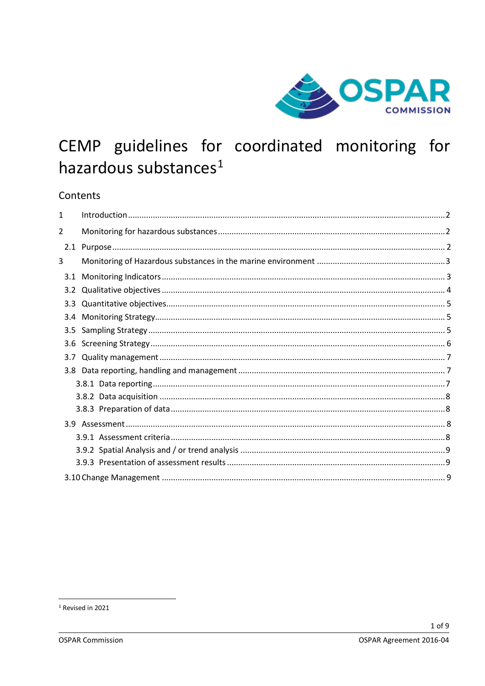

# CEMP guidelines for coordinated monitoring for hazardous substances<sup>1</sup>

# Contents

| 3.3 <sub>2</sub> |
|------------------|

<span id="page-0-0"></span><sup>&</sup>lt;sup>1</sup> Revised in 2021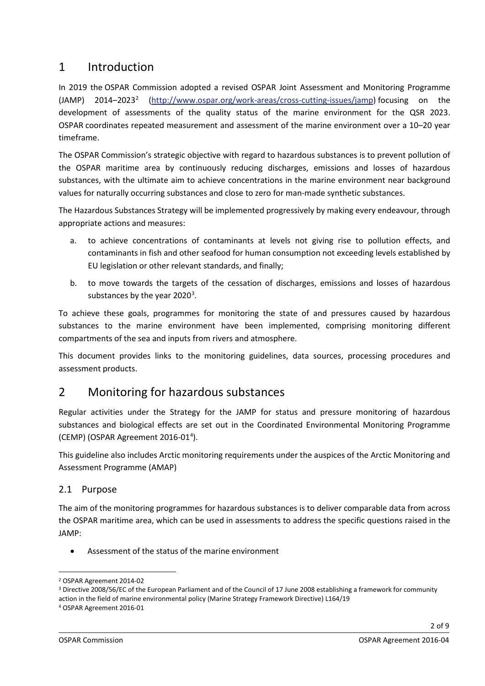# 1 Introduction

In 2019 the OSPAR Commission adopted a revised OSPAR Joint Assessment and Monitoring Programme  $(JAMP)$  [2](#page-1-0)014–2023<sup>2</sup> [\(http://www.ospar.org/work-areas/cross-cutting-issues/jamp\)](http://www.ospar.org/work-areas/cross-cutting-issues/jamp) focusing on the development of assessments of the quality status of the marine environment for the QSR 2023. OSPAR coordinates repeated measurement and assessment of the marine environment over a 10–20 year timeframe.

The OSPAR Commission's strategic objective with regard to hazardous substances is to prevent pollution of the OSPAR maritime area by continuously reducing discharges, emissions and losses of hazardous substances, with the ultimate aim to achieve concentrations in the marine environment near background values for naturally occurring substances and close to zero for man-made synthetic substances.

The Hazardous Substances Strategy will be implemented progressively by making every endeavour, through appropriate actions and measures:

- a. to achieve concentrations of contaminants at levels not giving rise to pollution effects, and contaminants in fish and other seafood for human consumption not exceeding levels established by EU legislation or other relevant standards, and finally;
- b. to move towards the targets of the cessation of discharges, emissions and losses of hazardous substances by the year  $2020<sup>3</sup>$  $2020<sup>3</sup>$  $2020<sup>3</sup>$ .

To achieve these goals, programmes for monitoring the state of and pressures caused by hazardous substances to the marine environment have been implemented, comprising monitoring different compartments of the sea and inputs from rivers and atmosphere.

This document provides links to the monitoring guidelines, data sources, processing procedures and assessment products.

# 2 Monitoring for hazardous substances

Regular activities under the Strategy for the JAMP for status and pressure monitoring of hazardous substances and biological effects are set out in the Coordinated Environmental Monitoring Programme (CEMP) (OSPAR Agreement 2016-01<sup>[4](#page-1-2)</sup>).

This guideline also includes Arctic monitoring requirements under the auspices of the Arctic Monitoring and Assessment Programme (AMAP)

# 2.1 Purpose

The aim of the monitoring programmes for hazardous substances is to deliver comparable data from across the OSPAR maritime area, which can be used in assessments to address the specific questions raised in the JAMP:

• Assessment of the status of the marine environment

<span id="page-1-0"></span><sup>2</sup> OSPAR Agreement 2014-02

<span id="page-1-1"></span><sup>3</sup> Directive 2008/56/EC of the European Parliament and of the Council of 17 June 2008 establishing a framework for community action in the field of marine environmental policy (Marine Strategy Framework Directive) L164/19

<span id="page-1-2"></span><sup>4</sup> OSPAR Agreement 2016-01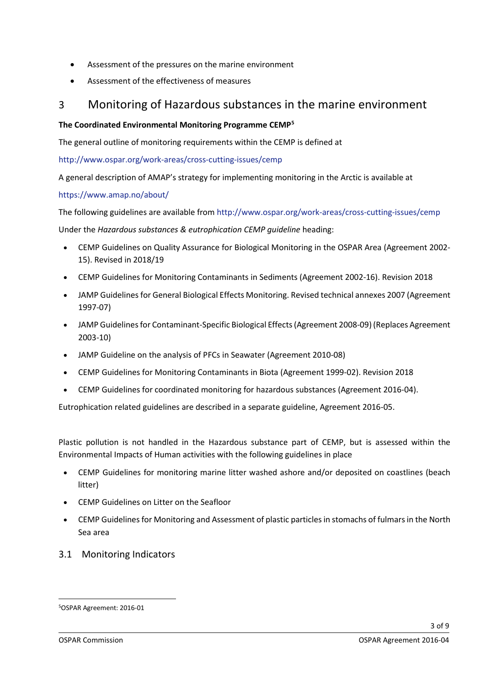- Assessment of the pressures on the marine environment
- Assessment of the effectiveness of measures

# 3 Monitoring of Hazardous substances in the marine environment

#### **The Coordinated Environmental Monitoring Programme CEMP[5](#page-2-0)**

The general outline of monitoring requirements within the CEMP is defined at

<http://www.ospar.org/work-areas/cross-cutting-issues/cemp>

A general description of AMAP's strategy for implementing monitoring in the Arctic is available at

#### <https://www.amap.no/about/>

The following guidelines are available from<http://www.ospar.org/work-areas/cross-cutting-issues/cemp>

Under the *Hazardous substances & eutrophication CEMP guideline* heading:

- CEMP Guidelines on Quality Assurance for Biological Monitoring in the OSPAR Area [\(Agreement](https://www.ospar.org/convention/agreements?q=2002-15) 2002- 15). Revised in [2018/19](https://www.ospar.org/convention/agreements?q=2002-15)
- CEMP Guidelines for Monitoring [Contaminants](http://www.ospar.org/documents?d=32743) in Sediments (Agreement 2002-16). Revision 2018
- JAMP Guidelines for General Biological Effects Monitoring. Revised technical annexes 2007 (Agreement [1997-07\)](https://www.ospar.org/documents?d=32676)
- JAMP Guidelines for [Contaminant-Specific](https://www.ospar.org/documents?d=32799) Biological Effects (Agreement 2008-09) (Replaces Agreement [2003-10\)](https://www.ospar.org/documents?d=32799)
- JAMP Guideline on the analysis of PFCs in Seawater [\(Agreement](https://www.ospar.org/documents?d=32869) 2010-08)
- CEMP Guidelines for Monitoring [Contaminants](https://www.ospar.org/documents?d=32414) in Biota (Agreement 1999-02). Revision 2018
- CEMP Guidelines for [coordinated](https://www.ospar.org/convention/agreements?q=2016-04&t=&a=&s=) monitoring for hazardous substances (Agreement 2016-04).

Eutrophication related guidelines are described in a separate guideline, Agreement 2016-05.

Plastic pollution is not handled in the Hazardous substance part of CEMP, but is assessed within the Environmental Impacts of Human activities with the following guidelines in place

- CEMP Guidelines for [monitoring](https://www.ospar.org/documents?d=37514) marine litter washed ashore and/or deposited on coastlines (beach [litter\)](https://www.ospar.org/documents?d=37514)
- CEMP [Guidelines](https://www.ospar.org/documents?d=37515) on Litter on the Seafloor
- CEMP Guidelines for Monitoring and [Assessment](https://www.ospar.org/documents?d=35083) of plastic particlesin stomachs of fulmarsin the North Sea [area](https://www.ospar.org/documents?d=35083)
- 3.1 Monitoring Indicators

<span id="page-2-0"></span><sup>5</sup>OSPAR Agreement: 2016-01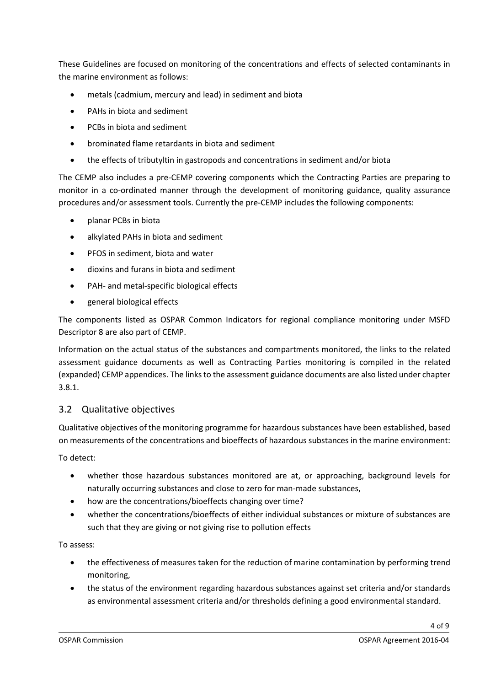These Guidelines are focused on monitoring of the concentrations and effects of selected contaminants in the marine environment as follows:

- metals (cadmium, mercury and lead) in sediment and biota
- PAHs in biota and sediment
- PCBs in biota and sediment
- brominated flame retardants in biota and sediment
- the effects of tributyltin in gastropods and concentrations in sediment and/or biota

The CEMP also includes a pre-CEMP covering components which the Contracting Parties are preparing to monitor in a co-ordinated manner through the development of monitoring guidance, quality assurance procedures and/or assessment tools. Currently the pre-CEMP includes the following components:

- planar PCBs in biota
- alkylated PAHs in biota and sediment
- PFOS in sediment, biota and water
- dioxins and furans in biota and sediment
- PAH- and metal-specific biological effects
- general biological effects

The components listed as OSPAR Common Indicators for regional compliance monitoring under MSFD Descriptor 8 are also part of CEMP.

Information on the actual status of the substances and compartments monitored, the links to the related assessment guidance documents as well as Contracting Parties monitoring is compiled in the related (expanded) CEMP appendices. The links to the assessment guidance documents are also listed under chapter 3.8.1.

# 3.2 Qualitative objectives

Qualitative objectives of the monitoring programme for hazardous substances have been established, based on measurements of the concentrations and bioeffects of hazardous substances in the marine environment:

To detect:

- whether those hazardous substances monitored are at, or approaching, background levels for naturally occurring substances and close to zero for man-made substances,
- how are the concentrations/bioeffects changing over time?
- whether the concentrations/bioeffects of either individual substances or mixture of substances are such that they are giving or not giving rise to pollution effects

To assess:

- the effectiveness of measures taken for the reduction of marine contamination by performing trend monitoring,
- the status of the environment regarding hazardous substances against set criteria and/or standards as environmental assessment criteria and/or thresholds defining a good environmental standard.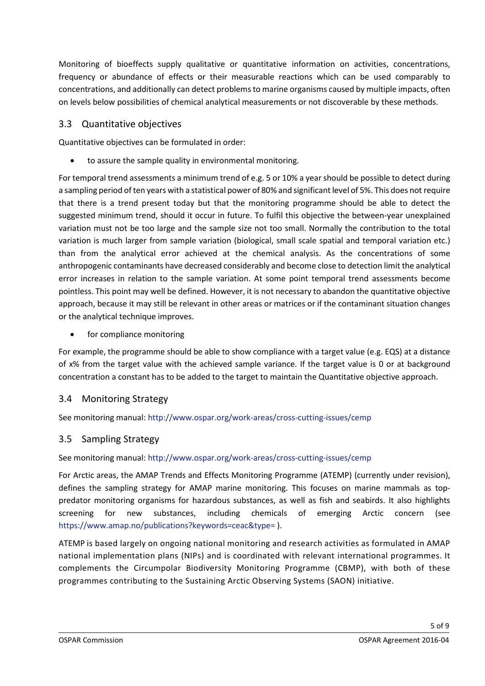Monitoring of bioeffects supply qualitative or quantitative information on activities, concentrations, frequency or abundance of effects or their measurable reactions which can be used comparably to concentrations, and additionally can detect problems to marine organisms caused by multiple impacts, often on levels below possibilities of chemical analytical measurements or not discoverable by these methods.

#### 3.3 Quantitative objectives

Quantitative objectives can be formulated in order:

to assure the sample quality in environmental monitoring.

For temporal trend assessments a minimum trend of e.g. 5 or 10% a year should be possible to detect during a sampling period of ten years with a statistical power of 80% and significant level of 5%. This does not require that there is a trend present today but that the monitoring programme should be able to detect the suggested minimum trend, should it occur in future. To fulfil this objective the between-year unexplained variation must not be too large and the sample size not too small. Normally the contribution to the total variation is much larger from sample variation (biological, small scale spatial and temporal variation etc.) than from the analytical error achieved at the chemical analysis. As the concentrations of some anthropogenic contaminants have decreased considerably and become close to detection limit the analytical error increases in relation to the sample variation. At some point temporal trend assessments become pointless. This point may well be defined. However, it is not necessary to abandon the quantitative objective approach, because it may still be relevant in other areas or matrices or if the contaminant situation changes or the analytical technique improves.

for compliance monitoring

For example, the programme should be able to show compliance with a target value (e.g. EQS) at a distance of x% from the target value with the achieved sample variance. If the target value is 0 or at background concentration a constant has to be added to the target to maintain the Quantitative objective approach.

#### 3.4 Monitoring Strategy

See monitoring manual[: http://www.ospar.org/work-areas/cross-cutting-issues/cemp](http://www.ospar.org/work-areas/cross-cutting-issues/cemp)

#### 3.5 Sampling Strategy

See monitoring manual[: http://www.ospar.org/work-areas/cross-cutting-issues/cemp](http://www.ospar.org/work-areas/cross-cutting-issues/cemp)

For Arctic areas, the AMAP Trends and Effects Monitoring Programme (ATEMP) (currently under revision), defines the sampling strategy for AMAP marine monitoring. This focuses on marine mammals as toppredator monitoring organisms for hazardous substances, as well as fish and seabirds. It also highlights screening for new substances, including chemicals of emerging Arctic concern (see [https://www.amap.no/publications?keywords=ceac&type=](https://www.amap.no/publications?keywords=ceac&type) ).

ATEMP is based largely on ongoing national monitoring and research activities as formulated in AMAP national implementation plans (NIPs) and is coordinated with relevant international programmes. It complements the Circumpolar Biodiversity Monitoring Programme (CBMP), with both of these programmes contributing to the Sustaining Arctic Observing Systems (SAON) initiative.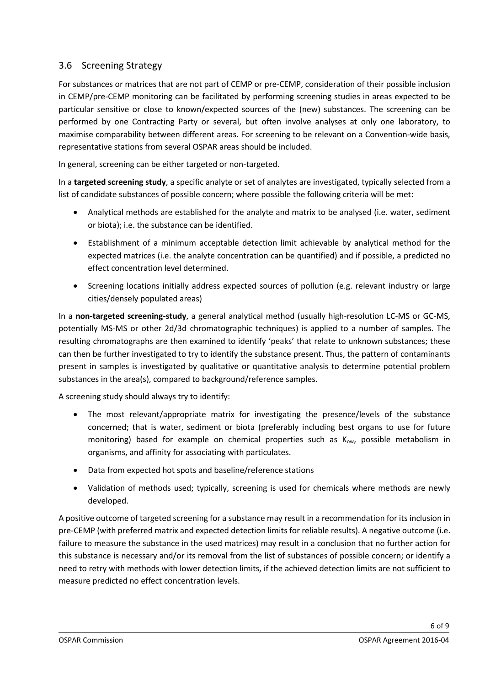#### 3.6 Screening Strategy

For substances or matrices that are not part of CEMP or pre-CEMP, consideration of their possible inclusion in CEMP/pre-CEMP monitoring can be facilitated by performing screening studies in areas expected to be particular sensitive or close to known/expected sources of the (new) substances. The screening can be performed by one Contracting Party or several, but often involve analyses at only one laboratory, to maximise comparability between different areas. For screening to be relevant on a Convention-wide basis, representative stations from several OSPAR areas should be included.

In general, screening can be either targeted or non-targeted.

In a **targeted screening study**, a specific analyte or set of analytes are investigated, typically selected from a list of candidate substances of possible concern; where possible the following criteria will be met:

- Analytical methods are established for the analyte and matrix to be analysed (i.e. water, sediment or biota); i.e. the substance can be identified.
- Establishment of a minimum acceptable detection limit achievable by analytical method for the expected matrices (i.e. the analyte concentration can be quantified) and if possible, a predicted no effect concentration level determined.
- Screening locations initially address expected sources of pollution (e.g. relevant industry or large cities/densely populated areas)

In a **non-targeted screening-study**, a general analytical method (usually high-resolution LC-MS or GC-MS, potentially MS-MS or other 2d/3d chromatographic techniques) is applied to a number of samples. The resulting chromatographs are then examined to identify 'peaks' that relate to unknown substances; these can then be further investigated to try to identify the substance present. Thus, the pattern of contaminants present in samples is investigated by qualitative or quantitative analysis to determine potential problem substances in the area(s), compared to background/reference samples.

A screening study should always try to identify:

- The most relevant/appropriate matrix for investigating the presence/levels of the substance concerned; that is water, sediment or biota (preferably including best organs to use for future monitoring) based for example on chemical properties such as  $K_{ow}$ , possible metabolism in organisms, and affinity for associating with particulates.
- Data from expected hot spots and baseline/reference stations
- Validation of methods used; typically, screening is used for chemicals where methods are newly developed.

A positive outcome of targeted screening for a substance may result in a recommendation for its inclusion in pre-CEMP (with preferred matrix and expected detection limits for reliable results). A negative outcome (i.e. failure to measure the substance in the used matrices) may result in a conclusion that no further action for this substance is necessary and/or its removal from the list of substances of possible concern; or identify a need to retry with methods with lower detection limits, if the achieved detection limits are not sufficient to measure predicted no effect concentration levels.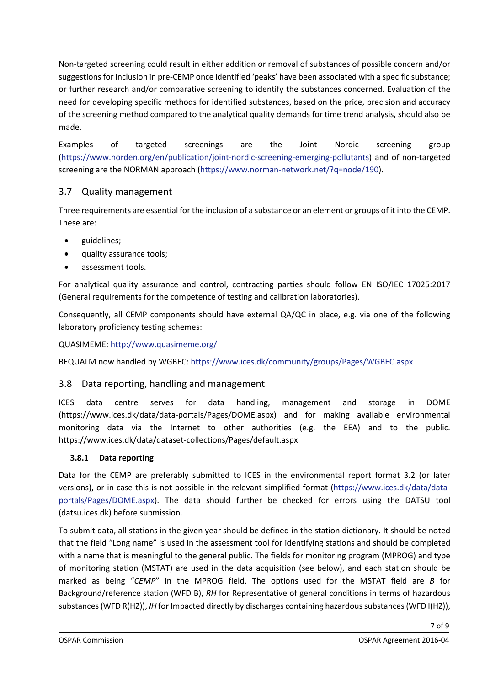Non-targeted screening could result in either addition or removal of substances of possible concern and/or suggestions for inclusion in pre-CEMP once identified 'peaks' have been associated with a specific substance; or further research and/or comparative screening to identify the substances concerned. Evaluation of the need for developing specific methods for identified substances, based on the price, precision and accuracy of the screening method compared to the analytical quality demands for time trend analysis, should also be made.

Examples of targeted screenings are the Joint Nordic screening group [\(https://www.norden.org/en/publication/joint-nordic-screening-emerging-pollutants\)](https://www.norden.org/en/publication/joint-nordic-screening-emerging-pollutants) and of non-targeted screening are the NORMAN approach [\(https://www.norman-network.net/?q=node/190\)](https://www.norman-network.net/?q=node/190).

# 3.7 Quality management

Three requirements are essential for the inclusion of a substance or an element or groups of it into the CEMP. These are:

- guidelines;
- quality assurance tools;
- assessment tools.

For analytical quality assurance and control, contracting parties should follow EN ISO/IEC 17025:2017 (General requirements for the competence of testing and calibration laboratories).

Consequently, all CEMP components should have external QA/QC in place, e.g. via one of the following laboratory proficiency testing schemes:

QUASIMEME[: http://www.quasimeme.org/](http://www.quasimeme.org/)

BEQUALM now handled by WGBEC:<https://www.ices.dk/community/groups/Pages/WGBEC.aspx>

#### 3.8 Data reporting, handling and management

ICES data centre serves for data handling, management and storage in DOME (https://www.ices.dk/data/data-portals/Pages/DOME.aspx) and for making available environmental monitoring data via the Internet to other authorities (e.g. the EEA) and to the public. https://www.ices.dk/data/dataset-collections/Pages/default.aspx

#### **3.8.1 Data reporting**

Data for the CEMP are preferably submitted to ICES in the environmental report format 3.2 (or later versions), or in case this is not possible in the relevant simplified format (https://www.ices.dk/data/dataportals/Pages/DOME.aspx). The data should further be checked for errors using the DATSU tool (datsu.ices.dk) before submission.

To submit data, all stations in the given year should be defined in the station dictionary. It should be noted that the field "Long name" is used in the assessment tool for identifying stations and should be completed with a name that is meaningful to the general public. The fields for monitoring program (MPROG) and type of monitoring station (MSTAT) are used in the data acquisition (see below), and each station should be marked as being "*CEMP*" in the MPROG field. The options used for the MSTAT field are *B* for Background/reference station (WFD B), *RH* for Representative of general conditions in terms of hazardous substances (WFD R(HZ)), *IH* for Impacted directly by discharges containing hazardous substances (WFD I(HZ)),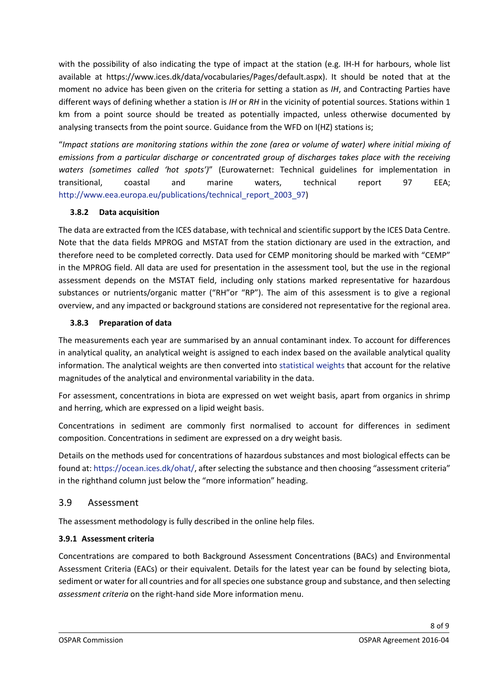with the possibility of also indicating the type of impact at the station (e.g. IH-H for harbours, whole list available at https://www.ices.dk/data/vocabularies/Pages/default.aspx). It should be noted that at the moment no advice has been given on the criteria for setting a station as *IH*, and Contracting Parties have different ways of defining whether a station is *IH* or *RH* in the vicinity of potential sources. Stations within 1 km from a point source should be treated as potentially impacted, unless otherwise documented by analysing transects from the point source. Guidance from the WFD on I(HZ) stations is;

"*Impact stations are monitoring stations within the zone (area or volume of water) where initial mixing of emissions from a particular discharge or concentrated group of discharges takes place with the receiving waters (sometimes called 'hot spots')*" (Eurowaternet: Technical guidelines for implementation in transitional, coastal and marine waters, technical report 97 EEA; [http://www.eea.europa.eu/publications/technical\\_report\\_2003\\_97\)](http://www.eea.europa.eu/publications/technical_report_2003_97)

#### **3.8.2 Data acquisition**

The data are extracted from the ICES database, with technical and scientific support by the ICES Data Centre. Note that the data fields MPROG and MSTAT from the station dictionary are used in the extraction, and therefore need to be completed correctly. Data used for CEMP monitoring should be marked with "CEMP" in the MPROG field. All data are used for presentation in the assessment tool, but the use in the regional assessment depends on the MSTAT field, including only stations marked representative for hazardous substances or nutrients/organic matter ("RH"or "RP"). The aim of this assessment is to give a regional overview, and any impacted or background stations are considered not representative for the regional area.

#### **3.8.3 Preparation of data**

The measurements each year are summarised by an annual contaminant index. To account for differences in analytical quality, an analytical weight is assigned to each index based on the available analytical quality information. The analytical weights are then converted into [statistical weights](http://dome.ices.dk/osparmime/help_methods_biota_metals.html#StatWeights) that account for the relative magnitudes of the analytical and environmental variability in the data.

For assessment, concentrations in biota are expressed on wet weight basis, apart from organics in shrimp and herring, which are expressed on a lipid weight basis.

Concentrations in sediment are commonly first normalised to account for differences in sediment composition. Concentrations in sediment are expressed on a dry weight basis.

Details on the methods used for concentrations of hazardous substances and most biological effects can be found at: [https://ocean.ices.dk/ohat/,](https://ocean.ices.dk/ohat/) after selecting the substance and then choosing "assessment criteria" in the righthand column just below the "more information" heading.

# 3.9 Assessment

The assessment methodology is fully described in the online help files.

# **3.9.1 Assessment criteria**

Concentrations are compared to both Background Assessment Concentrations (BACs) and Environmental Assessment Criteria (EACs) or their equivalent. Details for the latest year can be found by selecting biota, sediment or water for all countries and for all species one substance group and substance, and then selecting *assessment criteria* on the right-hand side More information menu.